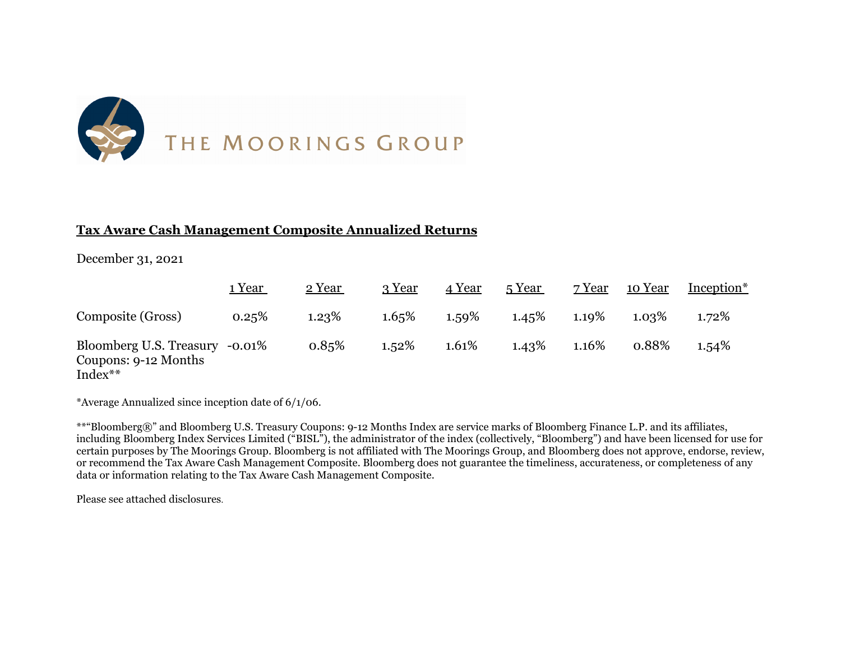

## **Tax Aware Cash Management Composite Annualized Returns**

## December 31, 2021

|                                                              | 1 Year     | 2 Year | 3 Year | 4 Year | 5 Year | 7 Year | 10 Year | Inception <sup>*</sup> |
|--------------------------------------------------------------|------------|--------|--------|--------|--------|--------|---------|------------------------|
| Composite (Gross)                                            | 0.25%      | 1.23%  | 1.65%  | 1.59%  | 1.45%  | 1.19%  | 1.03%   | 1.72%                  |
| Bloomberg U.S. Treasury<br>Coupons: 9-12 Months<br>$Index**$ | -0.01 $\%$ | 0.85%  | 1.52%  | 1.61%  | 1.43%  | 1.16%  | 0.88%   | $1.54\%$               |

\*Average Annualized since inception date of 6/1/06.

\*\*"Bloomberg®" and Bloomberg U.S. Treasury Coupons: 9-12 Months Index are service marks of Bloomberg Finance L.P. and its affiliates, including Bloomberg Index Services Limited ("BISL"), the administrator of the index (collectively, "Bloomberg") and have been licensed for use for certain purposes by The Moorings Group. Bloomberg is not affiliated with The Moorings Group, and Bloomberg does not approve, endorse, review, or recommend the Tax Aware Cash Management Composite. Bloomberg does not guarantee the timeliness, accurateness, or completeness of any data or information relating to the Tax Aware Cash Management Composite.

Please see attached disclosures.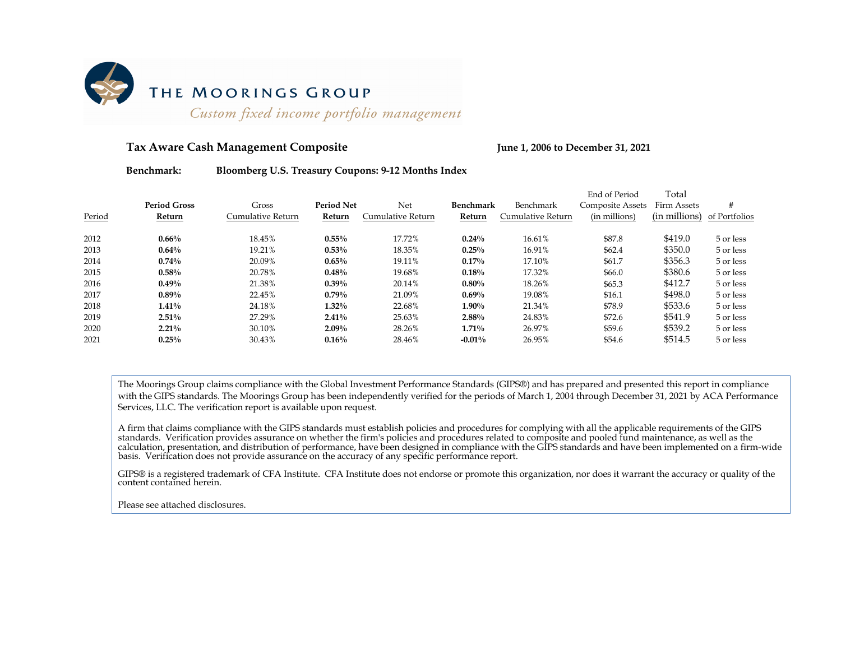

### Tax Aware Cash Management Composite **June 1, 2006** to December 31, 2021

#### **Benchmark: Bloomberg U.S. Treasury Coupons: 9-12 Months Index**

|        |                     |                   |                   |                   |           |                   | End of Period           | Total         |               |
|--------|---------------------|-------------------|-------------------|-------------------|-----------|-------------------|-------------------------|---------------|---------------|
|        | <b>Period Gross</b> | Gross             | <b>Period Net</b> | Net               | Benchmark | Benchmark         | <b>Composite Assets</b> | Firm Assets   | #             |
| Period | Return              | Cumulative Return | Return            | Cumulative Return | Return    | Cumulative Return | (in millions)           | (in millions) | of Portfolios |
| 2012   | 0.66%               | 18.45%            | $0.55\%$          | 17.72%            | $0.24\%$  | 16.61%            | \$87.8                  | \$419.0       | 5 or less     |
| 2013   | $0.64\%$            | 19.21%            | 0.53%             | 18.35%            | 0.25%     | 16.91%            | \$62.4                  | \$350.0       | 5 or less     |
| 2014   | 0.74%               | 20.09%            | $0.65\%$          | 19.11%            | $0.17\%$  | 17.10%            | \$61.7                  | \$356.3       | 5 or less     |
| 2015   | 0.58%               | 20.78%            | 0.48%             | 19.68%            | 0.18%     | 17.32%            | \$66.0                  | \$380.6       | 5 or less     |
| 2016   | 0.49%               | 21.38%            | $0.39\%$          | 20.14%            | 0.80%     | 18.26%            | \$65.3                  | \$412.7       | 5 or less     |
| 2017   | 0.89%               | 22.45%            | 0.79%             | 21.09%            | $0.69\%$  | 19.08%            | \$16.1                  | \$498.0       | 5 or less     |
| 2018   | $1.41\%$            | 24.18%            | $1.32\%$          | 22.68%            | $1.90\%$  | 21.34%            | \$78.9                  | \$533.6       | 5 or less     |
| 2019   | $2.51\%$            | 27.29%            | $2.41\%$          | 25.63%            | 2.88%     | 24.83%            | \$72.6                  | \$541.9       | 5 or less     |
| 2020   | $2.21\%$            | 30.10%            | $2.09\%$          | 28.26%            | $1.71\%$  | 26.97%            | \$59.6                  | \$539.2       | 5 or less     |
| 2021   | 0.25%               | 30.43%            | 0.16%             | 28.46%            | $-0.01%$  | 26.95%            | \$54.6                  | \$514.5       | 5 or less     |

The Moorings Group claims compliance with the Global Investment Performance Standards (GIPS®) and has prepared and presented this report in compliance with the GIPS standards. The Moorings Group has been independently verified for the periods of March 1, 2004 through December 31, 2021 by ACA Performance Services, LLC. The verification report is available upon request.

A firm that claims compliance with the GIPS standards must establish policies and procedures for complying with all the applicable requirements of the GIPS standards. Verification provides assurance on whether the firm's policies and procedures related to composite and pooled fund maintenance, as well as the calculation, presentation, and distribution of performance, have been designed in compliance with the GIPS standards and have been implemented on a firm-wide basis. Verification does not provide assurance on the accuracy of any specific performance report.

GIPS® is a registered trademark of CFA Institute. CFA Institute does not endorse or promote this organization, nor does it warrant the accuracy or quality of the content contained herein.

Please see attached disclosures.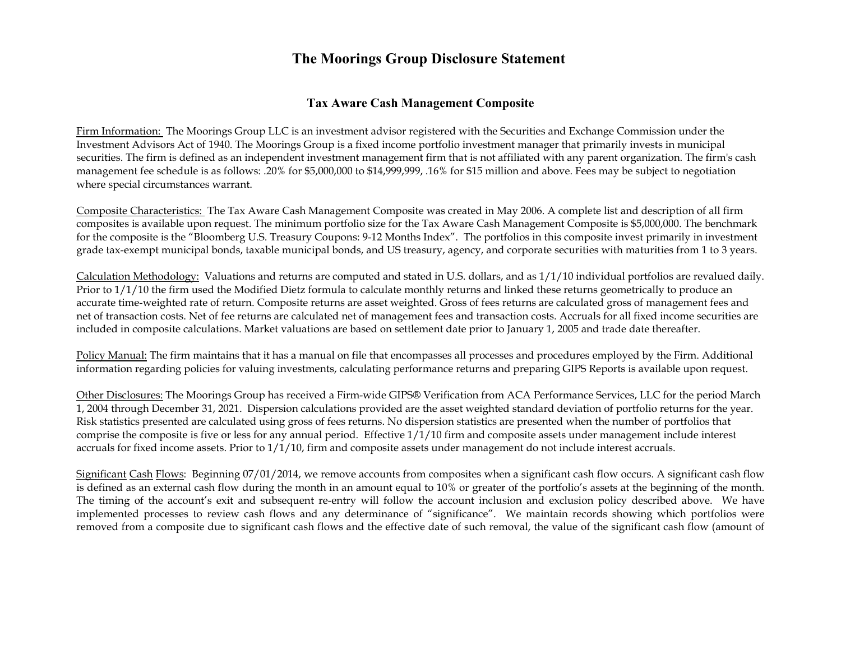# **The Moorings Group Disclosure Statement**

## **Tax Aware Cash Management Composite**

Firm Information: The Moorings Group LLC is an investment advisor registered with the Securities and Exchange Commission under the Investment Advisors Act of 1940. The Moorings Group is a fixed income portfolio investment manager that primarily invests in municipal securities. The firm is defined as an independent investment management firm that is not affiliated with any parent organization. The firm's cash management fee schedule is as follows: .20% for \$5,000,000 to \$14,999,999, .16% for \$15 million and above. Fees may be subject to negotiation where special circumstances warrant.

Composite Characteristics: The Tax Aware Cash Management Composite was created in May 2006. A complete list and description of all firm composites is available upon request. The minimum portfolio size for the Tax Aware Cash Management Composite is \$5,000,000. The benchmark for the composite is the "Bloomberg U.S. Treasury Coupons: 9-12 Months Index". The portfolios in this composite invest primarily in investment grade tax-exempt municipal bonds, taxable municipal bonds, and US treasury, agency, and corporate securities with maturities from 1 to 3 years.

Calculation Methodology: Valuations and returns are computed and stated in U.S. dollars, and as 1/1/10 individual portfolios are revalued daily. Prior to 1/1/10 the firm used the Modified Dietz formula to calculate monthly returns and linked these returns geometrically to produce an accurate time-weighted rate of return. Composite returns are asset weighted. Gross of fees returns are calculated gross of management fees and net of transaction costs. Net of fee returns are calculated net of management fees and transaction costs. Accruals for all fixed income securities are included in composite calculations. Market valuations are based on settlement date prior to January 1, 2005 and trade date thereafter.

Policy Manual: The firm maintains that it has a manual on file that encompasses all processes and procedures employed by the Firm. Additional information regarding policies for valuing investments, calculating performance returns and preparing GIPS Reports is available upon request.

Other Disclosures: The Moorings Group has received a Firm-wide GIPS® Verification from ACA Performance Services, LLC for the period March 1, 2004 through December 31, 2021. Dispersion calculations provided are the asset weighted standard deviation of portfolio returns for the year. Risk statistics presented are calculated using gross of fees returns. No dispersion statistics are presented when the number of portfolios that comprise the composite is five or less for any annual period. Effective 1/1/10 firm and composite assets under management include interest accruals for fixed income assets. Prior to 1/1/10, firm and composite assets under management do not include interest accruals.

Significant Cash Flows: Beginning 07/01/2014, we remove accounts from composites when a significant cash flow occurs. A significant cash flow is defined as an external cash flow during the month in an amount equal to 10% or greater of the portfolio's assets at the beginning of the month. The timing of the account's exit and subsequent re-entry will follow the account inclusion and exclusion policy described above. We have implemented processes to review cash flows and any determinance of "significance". We maintain records showing which portfolios were removed from a composite due to significant cash flows and the effective date of such removal, the value of the significant cash flow (amount of